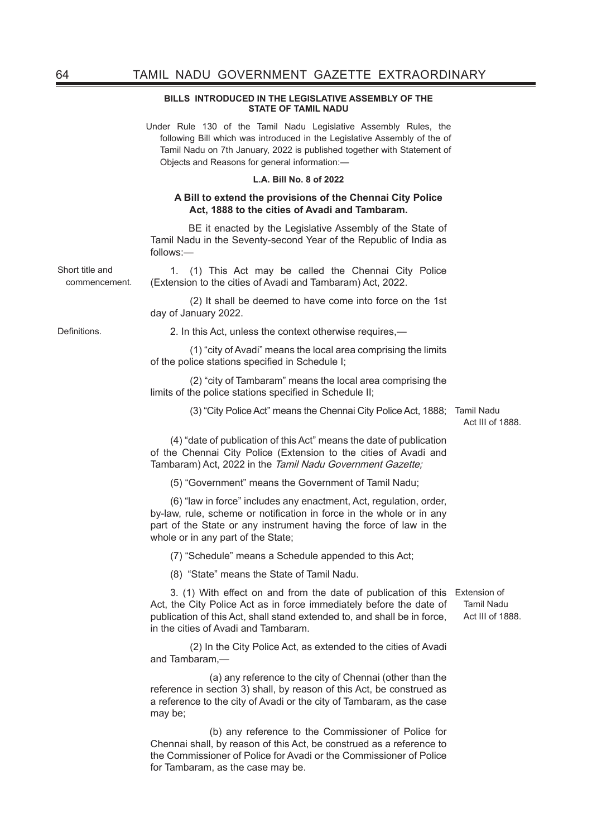### **BILLS INTRODUCED IN THE LEGISLATIVE ASSEMBLY OF THE STATE OF TAMIL NADU**

Under Rule 130 of the Tamil Nadu Legislative Assembly Rules, the following Bill which was introduced in the Legislative Assembly of the of Tamil Nadu on 7th January, 2022 is published together with Statement of Objects and Reasons for general information:—

### **L.A. Bill No. 8 of 2022**

#### **A Bill to extend the provisions of the Chennai City Police Act, 1888 to the cities of Avadi and Tambaram.**

 BE it enacted by the Legislative Assembly of the State of Tamil Nadu in the Seventy-second Year of the Republic of India as follows:—

commencement. 1. (1) This Act may be called the Chennai City Police (Extension to the cities of Avadi and Tambaram) Act, 2022.

> (2) It shall be deemed to have come into force on the 1st day of January 2022.

Definitions. 2. In this Act, unless the context otherwise requires,—

 (1) "city of Avadi" means the local area comprising the limits of the police stations specified in Schedule I;

 (2) "city of Tambaram" means the local area comprising the limits of the police stations specified in Schedule II;

(3) "City Police Act" means the Chennai City Police Act, 1888; Tamil Nadu

Act III of 1888.

(4) "date of publication of this Act" means the date of publication of the Chennai City Police (Extension to the cities of Avadi and Tambaram) Act, 2022 in the Tamil Nadu Government Gazette;

(5) "Government" means the Government of Tamil Nadu;

(6) "law in force" includes any enactment, Act, regulation, order, by-law, rule, scheme or notification in force in the whole or in any part of the State or any instrument having the force of law in the whole or in any part of the State;

(7) "Schedule" means a Schedule appended to this Act;

(8) "State" means the State of Tamil Nadu.

3. (1) With effect on and from the date of publication of this Extension of Act, the City Police Act as in force immediately before the date of publication of this Act, shall stand extended to, and shall be in force, in the cities of Avadi and Tambaram.

 (2) In the City Police Act, as extended to the cities of Avadi and Tambaram,—

 (a) any reference to the city of Chennai (other than the reference in section 3) shall, by reason of this Act, be construed as a reference to the city of Avadi or the city of Tambaram, as the case may be;

 (b) any reference to the Commissioner of Police for Chennai shall, by reason of this Act, be construed as a reference to the Commissioner of Police for Avadi or the Commissioner of Police for Tambaram, as the case may be.

Tamil Nadu Act III of 1888.

Short title and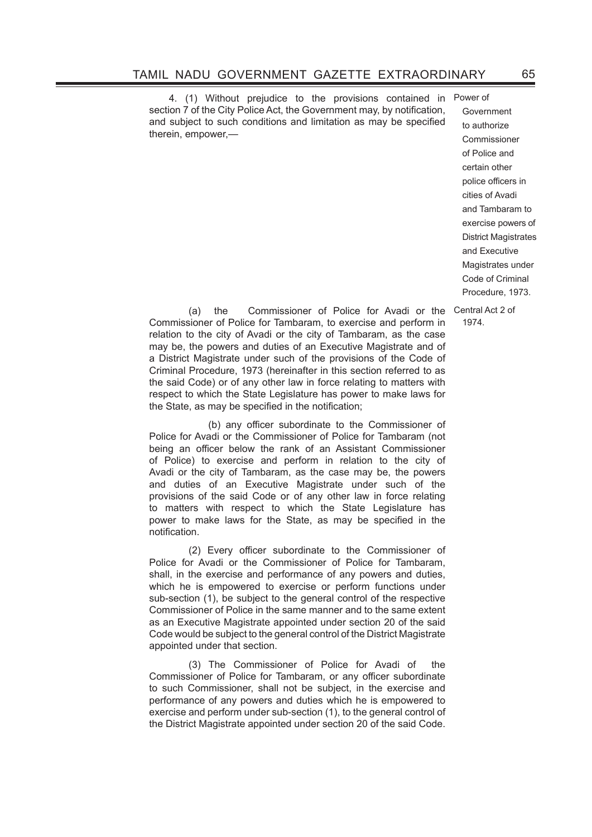4. (1) Without prejudice to the provisions contained in section 7 of the City Police Act, the Government may, by notification, and subject to such conditions and limitation as may be specified therein, empower,—

Power of Government to authorize Commissioner of Police and certain other police officers in cities of Avadi and Tambaram to exercise powers of District Magistrates and Executive Magistrates under Code of Criminal Procedure, 1973.

1974.

 (a) the Commissioner of Police for Avadi or the Central Act 2 of Commissioner of Police for Tambaram, to exercise and perform in relation to the city of Avadi or the city of Tambaram, as the case may be, the powers and duties of an Executive Magistrate and of a District Magistrate under such of the provisions of the Code of Criminal Procedure, 1973 (hereinafter in this section referred to as the said Code) or of any other law in force relating to matters with respect to which the State Legislature has power to make laws for the State, as may be specified in the notification;

(b) any officer subordinate to the Commissioner of Police for Avadi or the Commissioner of Police for Tambaram (not being an officer below the rank of an Assistant Commissioner of Police) to exercise and perform in relation to the city of Avadi or the city of Tambaram, as the case may be, the powers and duties of an Executive Magistrate under such of the provisions of the said Code or of any other law in force relating to matters with respect to which the State Legislature has power to make laws for the State, as may be specified in the notification.

(2) Every officer subordinate to the Commissioner of Police for Avadi or the Commissioner of Police for Tambaram, shall, in the exercise and performance of any powers and duties, which he is empowered to exercise or perform functions under sub-section (1), be subject to the general control of the respective Commissioner of Police in the same manner and to the same extent as an Executive Magistrate appointed under section 20 of the said Code would be subject to the general control of the District Magistrate appointed under that section.

 (3) The Commissioner of Police for Avadi of the Commissioner of Police for Tambaram, or any officer subordinate to such Commissioner, shall not be subject, in the exercise and performance of any powers and duties which he is empowered to exercise and perform under sub-section (1), to the general control of the District Magistrate appointed under section 20 of the said Code.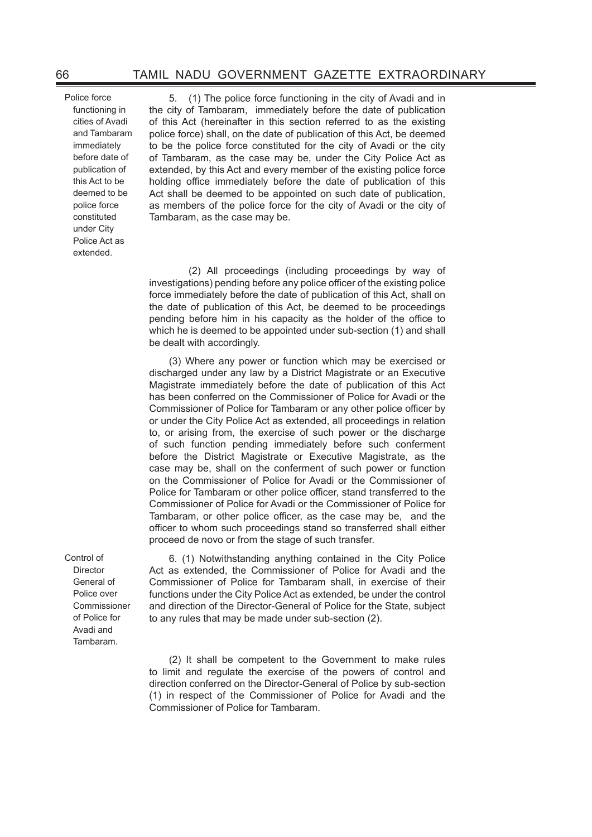Police force functioning in cities of Avadi and Tambaram immediately before date of publication of this Act to be deemed to be police force constituted under City Police Act as extended.

5. (1) The police force functioning in the city of Avadi and in the city of Tambaram, immediately before the date of publication of this Act (hereinafter in this section referred to as the existing police force) shall, on the date of publication of this Act, be deemed to be the police force constituted for the city of Avadi or the city of Tambaram, as the case may be, under the City Police Act as extended, by this Act and every member of the existing police force holding office immediately before the date of publication of this Act shall be deemed to be appointed on such date of publication, as members of the police force for the city of Avadi or the city of Tambaram, as the case may be.

 (2) All proceedings (including proceedings by way of investigations) pending before any police officer of the existing police force immediately before the date of publication of this Act, shall on the date of publication of this Act, be deemed to be proceedings pending before him in his capacity as the holder of the office to which he is deemed to be appointed under sub-section (1) and shall be dealt with accordingly.

(3) Where any power or function which may be exercised or discharged under any law by a District Magistrate or an Executive Magistrate immediately before the date of publication of this Act has been conferred on the Commissioner of Police for Avadi or the Commissioner of Police for Tambaram or any other police officer by or under the City Police Act as extended, all proceedings in relation to, or arising from, the exercise of such power or the discharge of such function pending immediately before such conferment before the District Magistrate or Executive Magistrate, as the case may be, shall on the conferment of such power or function on the Commissioner of Police for Avadi or the Commissioner of Police for Tambaram or other police officer, stand transferred to the Commissioner of Police for Avadi or the Commissioner of Police for Tambaram, or other police officer, as the case may be, and the officer to whom such proceedings stand so transferred shall either proceed de novo or from the stage of such transfer.

6. (1) Notwithstanding anything contained in the City Police Act as extended, the Commissioner of Police for Avadi and the Commissioner of Police for Tambaram shall, in exercise of their functions under the City Police Act as extended, be under the control and direction of the Director-General of Police for the State, subject to any rules that may be made under sub-section (2).

(2) It shall be competent to the Government to make rules to limit and regulate the exercise of the powers of control and direction conferred on the Director-General of Police by sub-section (1) in respect of the Commissioner of Police for Avadi and the Commissioner of Police for Tambaram.

Control of Director General of Police over Commissioner of Police for Avadi and Tambaram.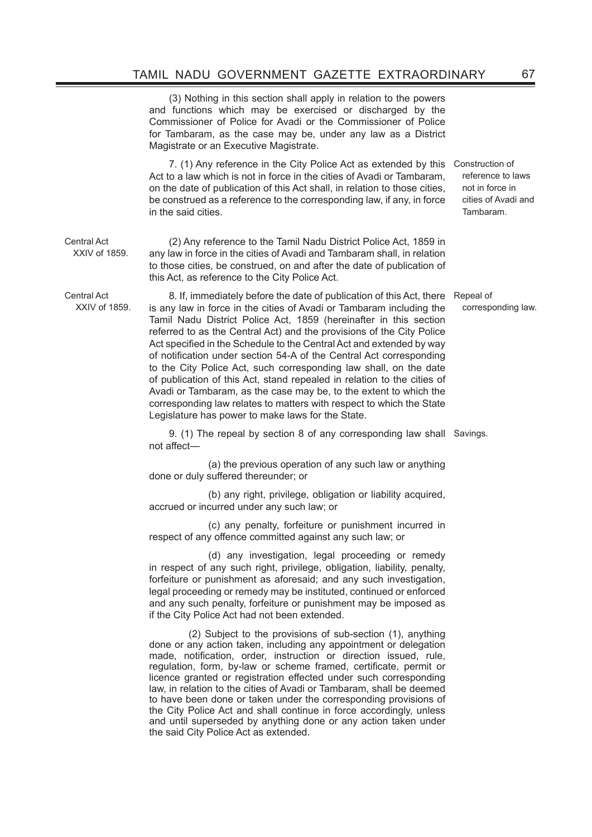(3) Nothing in this section shall apply in relation to the powers and functions which may be exercised or discharged by the Commissioner of Police for Avadi or the Commissioner of Police for Tambaram, as the case may be, under any law as a District Magistrate or an Executive Magistrate.

7. (1) Any reference in the City Police Act as extended by this Construction of Act to a law which is not in force in the cities of Avadi or Tambaram, on the date of publication of this Act shall, in relation to those cities, be construed as a reference to the corresponding law, if any, in force in the said cities.

(2) Any reference to the Tamil Nadu District Police Act, 1859 in any law in force in the cities of Avadi and Tambaram shall, in relation to those cities, be construed, on and after the date of publication of this Act, as reference to the City Police Act.

Central Act XXIV of 1859.

Central Act XXIV of 1859.

8. If, immediately before the date of publication of this Act, there is any law in force in the cities of Avadi or Tambaram including the Tamil Nadu District Police Act, 1859 (hereinafter in this section referred to as the Central Act) and the provisions of the City Police Act specified in the Schedule to the Central Act and extended by way of notification under section 54-A of the Central Act corresponding to the City Police Act, such corresponding law shall, on the date of publication of this Act, stand repealed in relation to the cities of Avadi or Tambaram, as the case may be, to the extent to which the corresponding law relates to matters with respect to which the State Legislature has power to make laws for the State.

9. (1) The repeal by section 8 of any corresponding law shall Savings. not affect-

 (a) the previous operation of any such law or anything done or duly suffered thereunder; or

 (b) any right, privilege, obligation or liability acquired, accrued or incurred under any such law; or

 (c) any penalty, forfeiture or punishment incurred in respect of any offence committed against any such law; or

 (d) any investigation, legal proceeding or remedy in respect of any such right, privilege, obligation, liability, penalty, forfeiture or punishment as aforesaid; and any such investigation, legal proceeding or remedy may be instituted, continued or enforced and any such penalty, forfeiture or punishment may be imposed as if the City Police Act had not been extended.

 (2) Subject to the provisions of sub-section (1), anything done or any action taken, including any appointment or delegation made, notification, order, instruction or direction issued, rule, regulation, form, by-law or scheme framed, certificate, permit or licence granted or registration effected under such corresponding law, in relation to the cities of Avadi or Tambaram, shall be deemed to have been done or taken under the corresponding provisions of the City Police Act and shall continue in force accordingly, unless and until superseded by anything done or any action taken under the said City Police Act as extended.

reference to laws not in force in cities of Avadi and Tambaram.

Repeal of corresponding law.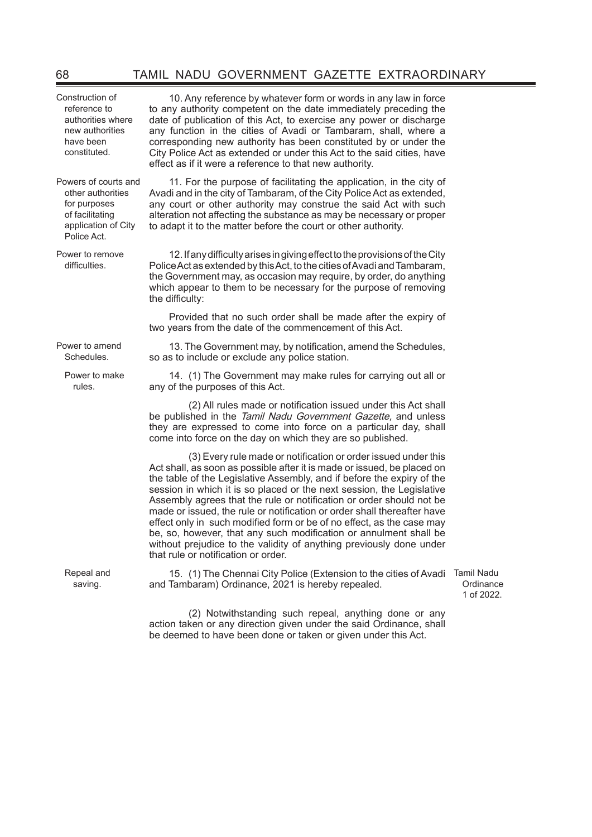Construction of reference to authorities where new authorities have been constituted.

Powers of courts and other authorities for purposes of facilitating application of City Police Act.

Power to remove difficulties.

Power to amend Schedules.

> Power to make rules.

Repeal and saving.

10. Any reference by whatever form or words in any law in force to any authority competent on the date immediately preceding the date of publication of this Act, to exercise any power or discharge any function in the cities of Avadi or Tambaram, shall, where a corresponding new authority has been constituted by or under the City Police Act as extended or under this Act to the said cities, have effect as if it were a reference to that new authority.

11. For the purpose of facilitating the application, in the city of Avadi and in the city of Tambaram, of the City Police Act as extended, any court or other authority may construe the said Act with such alteration not affecting the substance as may be necessary or proper to adapt it to the matter before the court or other authority.

12. If any difficulty arises in giving effect to the provisions of the City Police Act as extended by this Act, to the cities of Avadi and Tambaram, the Government may, as occasion may require, by order, do anything which appear to them to be necessary for the purpose of removing the difficulty:

Provided that no such order shall be made after the expiry of two years from the date of the commencement of this Act.

13. The Government may, by notification, amend the Schedules, so as to include or exclude any police station.

14. (1) The Government may make rules for carrying out all or any of the purposes of this Act.

(2) All rules made or notification issued under this Act shall be published in the Tamil Nadu Government Gazette, and unless they are expressed to come into force on a particular day, shall come into force on the day on which they are so published.

(3) Every rule made or notification or order issued under this Act shall, as soon as possible after it is made or issued, be placed on the table of the Legislative Assembly, and if before the expiry of the session in which it is so placed or the next session, the Legislative Assembly agrees that the rule or notification or order should not be made or issued, the rule or notification or order shall thereafter have effect only in such modified form or be of no effect, as the case may be, so, however, that any such modification or annulment shall be without prejudice to the validity of anything previously done under that rule or notification or order.

15. (1) The Chennai City Police (Extension to the cities of Avadi Tamil Nadu and Tambaram) Ordinance, 2021 is hereby repealed.

**Ordinance** 1 of 2022.

 (2) Notwithstanding such repeal, anything done or any action taken or any direction given under the said Ordinance, shall be deemed to have been done or taken or given under this Act.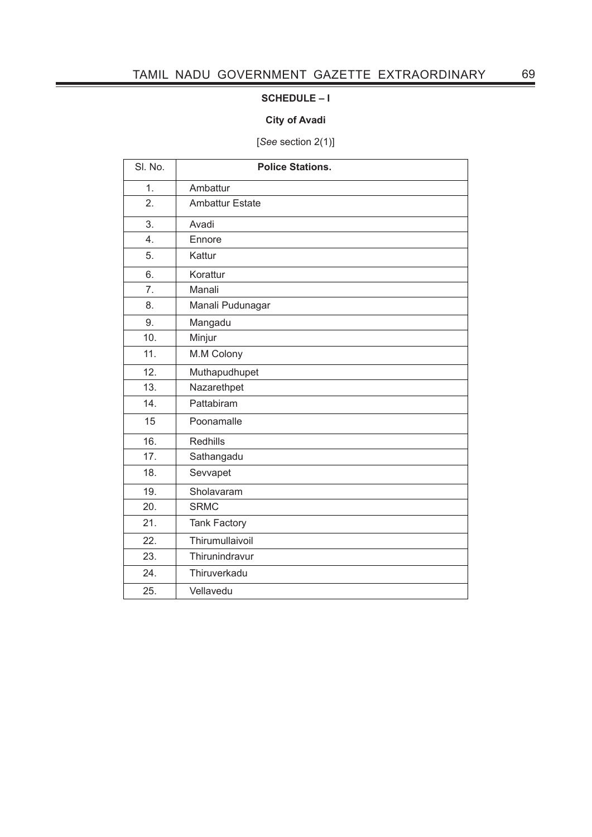## **SCHEDULE – I**

## **City of Avadi**

[*See* section 2(1)]

| SI. No.          | <b>Police Stations.</b> |
|------------------|-------------------------|
| $\overline{1}$ . | Ambattur                |
| 2.               | <b>Ambattur Estate</b>  |
| 3.               | Avadi                   |
| $\overline{4}$ . | Ennore                  |
| 5.               | Kattur                  |
| 6.               | Korattur                |
| 7.               | Manali                  |
| 8.               | Manali Pudunagar        |
| 9.               | Mangadu                 |
| 10.              | Minjur                  |
| 11.              | M.M Colony              |
| 12.              | Muthapudhupet           |
| 13.              | Nazarethpet             |
| 14.              | Pattabiram              |
| 15               | Poonamalle              |
| 16.              | <b>Redhills</b>         |
| 17.              | Sathangadu              |
| 18.              | Sevvapet                |
| 19.              | Sholavaram              |
| 20.              | <b>SRMC</b>             |
| 21.              | <b>Tank Factory</b>     |
| 22.              | Thirumullaivoil         |
| 23.              | Thirunindravur          |
| 24.              | Thiruverkadu            |
| 25.              | Vellavedu               |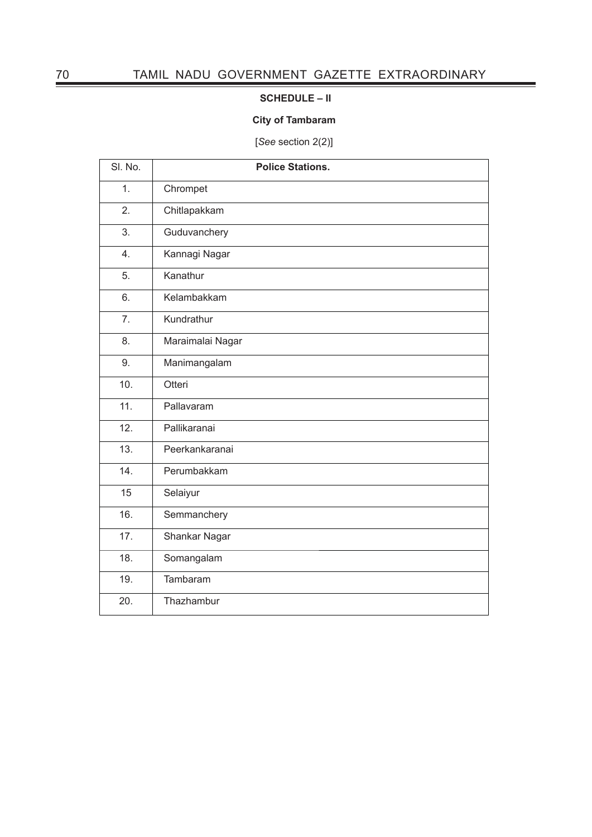# **SCHEDULE – II**

## **City of Tambaram**

[*See* section 2(2)]

| SI. No. | <b>Police Stations.</b> |
|---------|-------------------------|
| 1.      | Chrompet                |
| 2.      | Chitlapakkam            |
| 3.      | Guduvanchery            |
| 4.      | Kannagi Nagar           |
| 5.      | Kanathur                |
| 6.      | Kelambakkam             |
| 7.      | Kundrathur              |
| 8.      | Maraimalai Nagar        |
| 9.      | Manimangalam            |
| 10.     | Otteri                  |
| 11.     | Pallavaram              |
| 12.     | Pallikaranai            |
| 13.     | Peerkankaranai          |
| 14.     | Perumbakkam             |
| 15      | Selaiyur                |
| 16.     | Semmanchery             |
| 17.     | Shankar Nagar           |
| 18.     | Somangalam              |
| 19.     | Tambaram                |
| 20.     | Thazhambur              |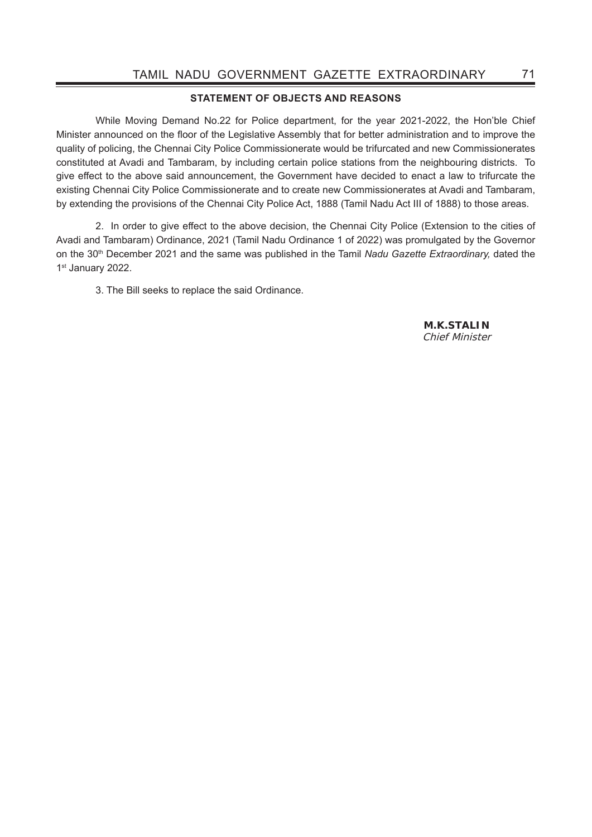### **STATEMENT OF OBJECTS AND REASONS**

 While Moving Demand No.22 for Police department, for the year 2021-2022, the Hon'ble Chief Minister announced on the floor of the Legislative Assembly that for better administration and to improve the quality of policing, the Chennai City Police Commissionerate would be trifurcated and new Commissionerates constituted at Avadi and Tambaram, by including certain police stations from the neighbouring districts. To give effect to the above said announcement, the Government have decided to enact a law to trifurcate the existing Chennai City Police Commissionerate and to create new Commissionerates at Avadi and Tambaram, by extending the provisions of the Chennai City Police Act, 1888 (Tamil Nadu Act III of 1888) to those areas.

2. In order to give effect to the above decision, the Chennai City Police (Extension to the cities of Avadi and Tambaram) Ordinance, 2021 (Tamil Nadu Ordinance 1 of 2022) was promulgated by the Governor on the 30<sup>th</sup> December 2021 and the same was published in the Tamil *Nadu Gazette Extraordinary*, dated the 1st January 2022.

3. The Bill seeks to replace the said Ordinance.

**M.K.STALIN** Chief Minister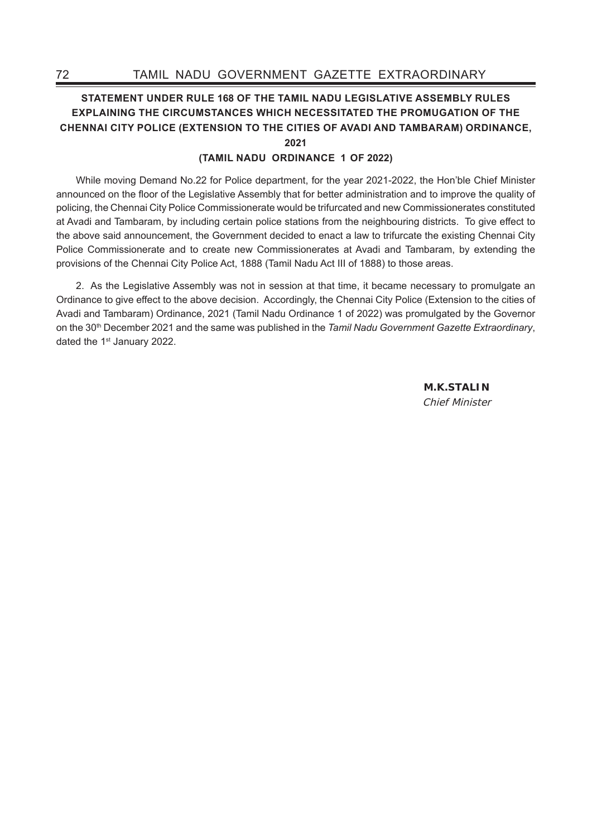## **STATEMENT UNDER RULE 168 OF THE TAMIL NADU LEGISLATIVE ASSEMBLY RULES EXPLAINING THE CIRCUMSTANCES WHICH NECESSITATED THE PROMUGATION OF THE CHENNAI CITY POLICE (EXTENSION TO THE CITIES OF AVADI AND TAMBARAM) ORDINANCE, 2021**

### **(TAMIL NADU ORDINANCE 1 OF 2022)**

While moving Demand No.22 for Police department, for the year 2021-2022, the Hon'ble Chief Minister announced on the floor of the Legislative Assembly that for better administration and to improve the quality of policing, the Chennai City Police Commissionerate would be trifurcated and new Commissionerates constituted at Avadi and Tambaram, by including certain police stations from the neighbouring districts. To give effect to the above said announcement, the Government decided to enact a law to trifurcate the existing Chennai City Police Commissionerate and to create new Commissionerates at Avadi and Tambaram, by extending the provisions of the Chennai City Police Act, 1888 (Tamil Nadu Act III of 1888) to those areas.

2. As the Legislative Assembly was not in session at that time, it became necessary to promulgate an Ordinance to give effect to the above decision. Accordingly, the Chennai City Police (Extension to the cities of Avadi and Tambaram) Ordinance, 2021 (Tamil Nadu Ordinance 1 of 2022) was promulgated by the Governor on the 30th December 2021 and the same was published in the *Tamil Nadu Government Gazette Extraordinary*, dated the 1<sup>st</sup> January 2022.

> **M.K.STALIN** Chief Minister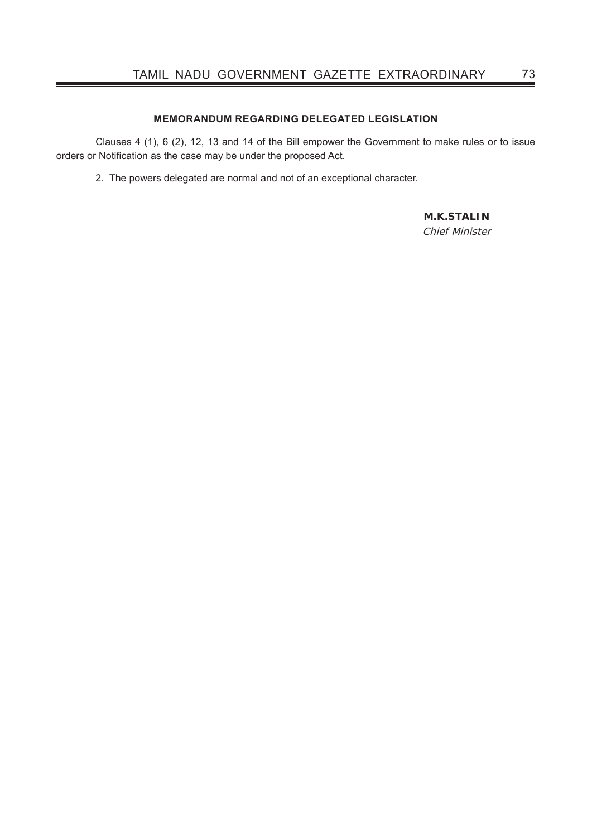### **MEMORANDUM REGARDING DELEGATED LEGISLATION**

 Clauses 4 (1), 6 (2), 12, 13 and 14 of the Bill empower the Government to make rules or to issue orders or Notification as the case may be under the proposed Act.

2. The powers delegated are normal and not of an exceptional character.

## **M.K.STALIN**

Chief Minister